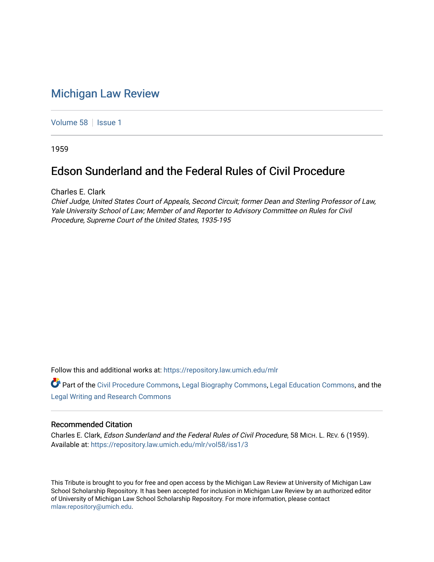## [Michigan Law Review](https://repository.law.umich.edu/mlr)

[Volume 58](https://repository.law.umich.edu/mlr/vol58) | [Issue 1](https://repository.law.umich.edu/mlr/vol58/iss1)

1959

# Edson Sunderland and the Federal Rules of Civil Procedure

Charles E. Clark

Chief Judge, United States Court of Appeals, Second Circuit; former Dean and Sterling Professor of Law, Yale University School of Law; Member of and Reporter to Advisory Committee on Rules for Civil Procedure, Supreme Court of the United States, 1935-195

Follow this and additional works at: [https://repository.law.umich.edu/mlr](https://repository.law.umich.edu/mlr?utm_source=repository.law.umich.edu%2Fmlr%2Fvol58%2Fiss1%2F3&utm_medium=PDF&utm_campaign=PDFCoverPages) 

Part of the [Civil Procedure Commons,](http://network.bepress.com/hgg/discipline/584?utm_source=repository.law.umich.edu%2Fmlr%2Fvol58%2Fiss1%2F3&utm_medium=PDF&utm_campaign=PDFCoverPages) [Legal Biography Commons,](http://network.bepress.com/hgg/discipline/834?utm_source=repository.law.umich.edu%2Fmlr%2Fvol58%2Fiss1%2F3&utm_medium=PDF&utm_campaign=PDFCoverPages) [Legal Education Commons,](http://network.bepress.com/hgg/discipline/857?utm_source=repository.law.umich.edu%2Fmlr%2Fvol58%2Fiss1%2F3&utm_medium=PDF&utm_campaign=PDFCoverPages) and the [Legal Writing and Research Commons](http://network.bepress.com/hgg/discipline/614?utm_source=repository.law.umich.edu%2Fmlr%2Fvol58%2Fiss1%2F3&utm_medium=PDF&utm_campaign=PDFCoverPages) 

### Recommended Citation

Charles E. Clark, Edson Sunderland and the Federal Rules of Civil Procedure, 58 MICH. L. REV. 6 (1959). Available at: [https://repository.law.umich.edu/mlr/vol58/iss1/3](https://repository.law.umich.edu/mlr/vol58/iss1/3?utm_source=repository.law.umich.edu%2Fmlr%2Fvol58%2Fiss1%2F3&utm_medium=PDF&utm_campaign=PDFCoverPages)

This Tribute is brought to you for free and open access by the Michigan Law Review at University of Michigan Law School Scholarship Repository. It has been accepted for inclusion in Michigan Law Review by an authorized editor of University of Michigan Law School Scholarship Repository. For more information, please contact [mlaw.repository@umich.edu.](mailto:mlaw.repository@umich.edu)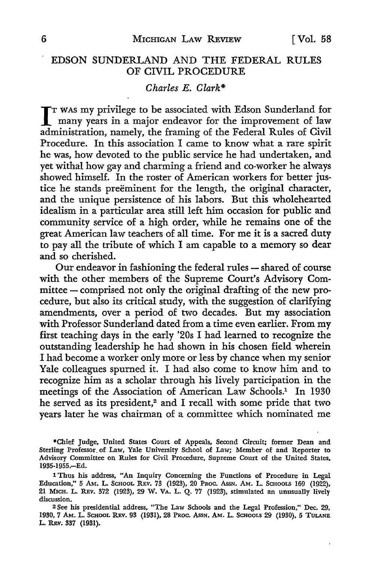### EDSON SUNDERLAND AND THE FEDERAL RULES OF CIVIL PROCEDURE

#### *Charles E. Clark\**

T was my privilege to be associated with Edson Sunderland for<br>many years in a major endeavor for the improvement of law<br>administration namely, the framing of the Eederal Pulse of Civil many years in a major endeavor for the improvement of law administration, namely, the framing of the Federal Rules of Civil Procedure. In this association I came to know what a rare spirit he was, how devoted to the public service he had undertaken, and yet withal how gay and charming a friend and co-worker he always showed himself. In the roster of American workers for better justice he stands preëminent for the length, the original character, and the unique persistence of his labors. But this wholehearted idealism in a particular area still left him occasion for public and community service of a high order, while he remains one of the great American law teachers of all time. For me it is a sacred duty to pay all the tribute of which I am capable to a memory so dear and so cherished.

Our endeavor in fashioning the federal rules - shared of course with the other members of the Supreme Court's Advisory Committee- comprised not only the original drafting of the new procedure, but also its critical study, with the suggestion of clarifying amendments, over a period of two decades. But my association with Professor Sunderland dated from a time even earlier. From my first teaching days in the early '20s I had learned to recognize the outstanding leadership he had shown in his chosen field wherein I had become a worker only more or less by chance when my senior Yale colleagues spurned it. I had also come to know him and to recognize him as a scholar through his lively participation in the meetings of the Association of American Law Schools.1 In 1930 he served as its president,<sup>2</sup> and I recall with some pride that two years later he was chairman of a committee which nominated me

<sup>•</sup>Chief Judge, United States Court of Appeals, Second Circuit; former Dean and Sterling Professor of Law, Yale University School of Law; Member of and Reporter to Advisory Committee on Rules for Civil Procedure, Supreme Court of the United States, 1935-1955.-Ed.

<sup>1</sup> Thus his address, "An Inquiry Concerning the Functions of Procedure in Legal Education," 5 Am. L. SCHOOL REV. 73 (1923), 20 PROC. AssN. AM. L. SCHOOLS 169 (1922), 21 MICH. L. REv. 372 (1923), 29 W. VA. L. Q. 77 (1923), stimulated an unusually lively discussion.

<sup>2</sup>See his presidential address, "The Law Schools and the Legal Profession," Dec. 29. 1930, 7 AM. L. SCHOOL REV. 93 (1931), 28 PROC. ASSN. AM. L. SCHOOLS 29 (1930), 5 TULANE L. REV. 337 (1931).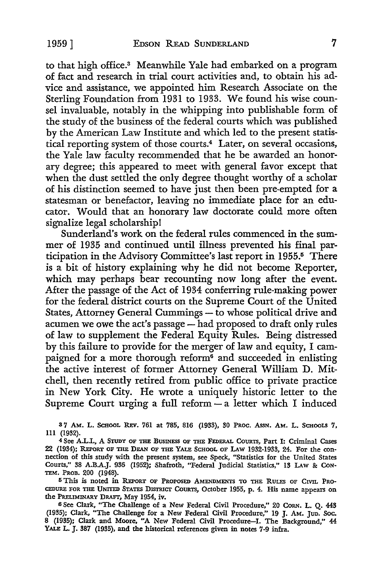to that high office.3 Meanwhile Yale had embarked on a program of fact and research in trial court activities and, to obtain his advice and assistance, we appointed him Research Associate on the Sterling Foundation from 1931 to 1933. We found his wise counsel invaluable, notably in the whipping into publishable form of the study of the business of the federal courts which was published by the American Law Institute and which led to the present statistical reporting system of those courts.4 Later, on several occasions, the Yale law faculty recommended that he be awarded an honorary degree; this appeared to meet with general favor except that when the dust settled the only degree thought worthy of a scholar of his distinction seemed to have just then been pre-empted for a statesman or benefactor, leaving no immediate place for an educator. Would that an honorary law doctorate could more often signalize legal scholarship!

Sunderland's work on the federal rules commenced in the summer of 1935 and continued until illness prevented his final participation in the Advisory Committee's last report in 1955.<sup>5</sup> There is a bit of history explaining why he did not become Reporter, which may perhaps bear recounting now long after the event. After the passage of the Act of 1934 conferring rule-making power for the federal district courts on the Supreme Court of the United States, Attorney General Cummings - to whose political drive and acumen we owe the act's passage  $-$  had proposed to draft only rules of law to supplement the Federal Equity Rules. Being distressed by this failure to provide for the merger of law and equity, I campaigned for a more thorough reform<sup>6</sup> and succeeded in enlisting the active interest of former Attorney General William D. Mitchell, then recently retired from public office to private practice in New York City. He wrote a uniquely historic letter to the Supreme Court urging a full reform  $\tilde{-}$  a letter which I induced

37 AM. L. SCHOOL REV. 761 at 785, 816 (1933), 30 PROC. ASSN. AM. L. SCHOOLS 7, Ill (1932).

4 See A.L.I., A STUDY OF TIIE BUSINESS OF TIIE FEDERAL CoURTS, Part I: Criminal Cases 22 (1934); REPORT OF THE DEAN OF THE YALE SCHOOL OF LAW 1932-1933, 24. For the connection of this study with the present system, see Speck, "Statistics for the United States Courts," 38 A.B.A.J. 936 (1952); Shafroth, "Federal Judicial Statistics," 13 I.Aw & CoN· TEM. PROB. 200 (1948).

<sup>5</sup> This is noted in REPORT OF PROPOSED AMENDMENTS TO THE RULES OF CIVIL PRO-CEDURE FOR THE UNITED STATES DISrRicr COURTS, October 1955, p. 4. His name appears on the PRELIMINARY DRAFT, May 1954, iv.

6 See Clark, "The Challenge of a New Federal Civil Procedure," 20 CORN. L. Q. 443 (1935); Clark, "The Challenge for a New Federal Civil Procedure," 19 J. AM. Jun. Soc. 8 (1935); Clark and Moore, "A New Federal Civil Procedure-I. The Background," 44 YALE L. J. 387 (1935), and the historical references given in notes 7-9 infra.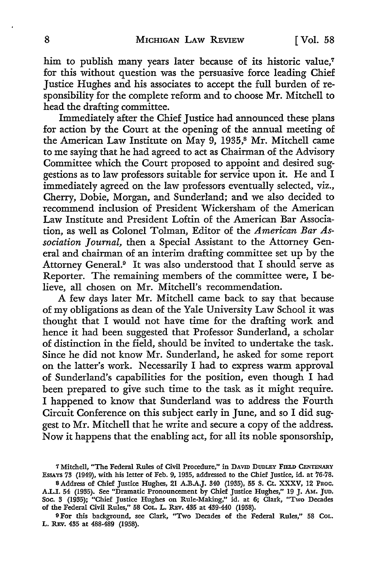him to publish many years later because of its historic value,<sup>7</sup> for this without question was the persuasive force leading Chief Justice Hughes and his associates to accept the full burden of responsibility for the complete reform and to choose Mr. Mitchell to head the drafting committee.

Immediately after the Chief Justice had announced these plans for action by the Court at the opening of the annual meeting of the American Law Institute on May 9, 1935,8 Mr. Mitchell came to me saying that he had agreed to act as Chairman of the Advisory Committee which the Court proposed to appoint and desired suggestions as to law professors suitable for service upon it. He and I immediately agreed on the law professors eventually selected, viz., Cherry, Dobie, Morgan, and Sunderland; and we also decided to recommend inclusion of President Wickersham of the American Law Institute and President Loftin of the American Bar Association, as well as Colonel Tolman, Editor of the *American Bar Association Journal,* then a Special Assistant to the Attorney General and chairman of an interim drafting committee set up by the Attorney General.<sup>9</sup> It was also understood that I should serve as Reporter. The remaining members of the committee were, I believe, all chosen on Mr. Mitchell's recommendation.

A few days later Mr. Mitchell came back to say that because of my obligations as dean of the Yale University Law School it was thought that I would not have time for the drafting work and hence it had been suggested that Professor Sunderland, a scholar of distinction in the field, should be invited to undertake the task. Since he did not know Mr. Sunderland, he asked for some report on the latter's work. Necessarily I had to express warm approval of Sunderland's capabilities for the position, even though I had been prepared to give such time to the task as it might require. I happened to know that Sunderland was to address the Fourth Circuit Conference on this subject early in June, and so I did suggest to Mr. Mitchell that he write and secure a copy of the address. Now it happens that the enabling act, for all its noble sponsorship,

9 For this background, see Clark, "Two Decades of the Federal Rules," 58 CoL. L. REv. 435 at 488-489 (1958).

<sup>7</sup> Mitchell, "The Federal Rules of Civil Procedure," in DAVID DUDLEY FIELD CENTENARY EssAYs 73 (1949), with his letter of Feb. 9, 1935, addressed to the Chief Justice, id. at 76-78.

<sup>8</sup> Address of Chief Justice Hughes, 21 A.B.A.J. 340 (1935), 55 S. Ct. XX.XV, 12 PROC. AL.I. 54 (1935). See "Dramatic Pronouncement by Chief Justice Hughes,'' 19 J. AM. Jun. Soc. 3 (1935); "Chief Justice Hughes on Rule-Making," id. at 6; Clark, "Two Decades of the Federal Civil Rules," 58 CoL. L. R.Ev. 435 at 439-440 (1958).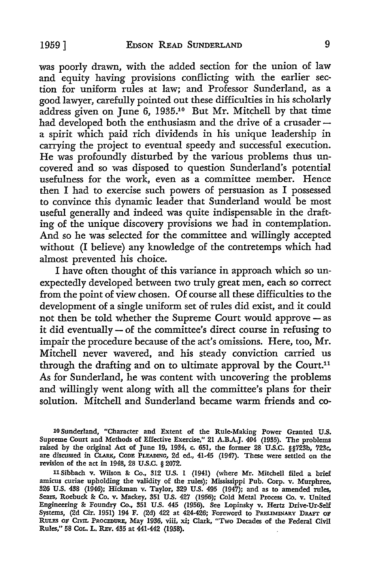was poorly drawn, with the added section for the union of law and equity having provisions conflicting with the earlier section for uniform rules at law; and Professor Sunderland, as a good lawyer, carefully pointed out these difficulties in his scholarly  $\frac{1}{2}$  address given on June 6, 1935.<sup>10</sup> But Mr. Mitchell by that time had developed both the enthusiasm and the drive of a crusader $$ a spirit which paid rich dividends in his unique leadership in carrying the project to eventual speedy and successful execution. He was profoundly disturbed by the various problems thus uncovered and so was disposed to question Sunderland's potential usefulness for the work, even as a committee member. Hence then I had to exercise such powers of persuasion as I possessed to convince this dynamic leader that Sunderland would be most useful generally and indeed was quite indispensable in the drafting of the unique discovery provisions we had in contemplation. And so he was selected for the committee and willingly accepted without (I believe) any knowledge of the contretemps which had almost prevented his choice.

I have often thought of this variance in approach which so unexpectedly developed between two truly great men, each so correct from the point of view chosen. Of course all these difficulties to the development of a single uniform set of rules did exist, and it could not then be told whether the Supreme Court would approve - as it did eventually  $-$  of the committee's direct course in refusing to impair the procedure because of the act's omissions. Here, too, Mr. Mitchell never wavered, and his steady conviction carried us through the drafting and on to ultimate approval by the Court.11 As for Sunderland, he was content with uncovering the problems and willingly went along with all the committee's plans for their solution. Mitchell and Sunderland became warm friends and co-

10 Sunderland, "Character and Extent of the Rule-Making Power Granted U.S. Supreme Court and Methods of Effective Exercise," 21 A.B.A.J. 404 (1935). The problems raised by the original Act of June 19, 1934, c. 651, the former 28 U.S.C. §§723b, 723c, are discussed in CLARK, CODE PLEADING, 2d ed., 41-45 (1947). These were settled on the revision of the act in 1948, 28 U.S.C. § 2072.

11 Sibbach v. Wilson *8c* Co., 312 U.S. I (1941) (where Mr. Mitchell filed a brief amicus curiae upholding the validity of the rules); Mississippi Pub. Corp. v. Murphree, 326 U.S. 438 (1946); Hickman v. Taylor, 329 U.S. 495 (1947); and as to amended rules, Sears, Roebuck & Co. v. Mackey, 351 U.S. 427 (1956); Cold Metal Process Co. v. United Engineering &: Foundry Co., 351 U.S. 445 (1956). See Lopinsky v. Hertz Drive-Ur-Self Systems, (2d Cir. 1951) 194 F. (2d) 422 at 424-426; Foreword to PRELIMINARY DRAFr OF RULES OF CIVIL PROCEDURE, May 1936, viii, xi; Clark, "Two Decades of the Federal Civil Rules,'' 58 CoL. L. REv. 435 at 441-442 (1958).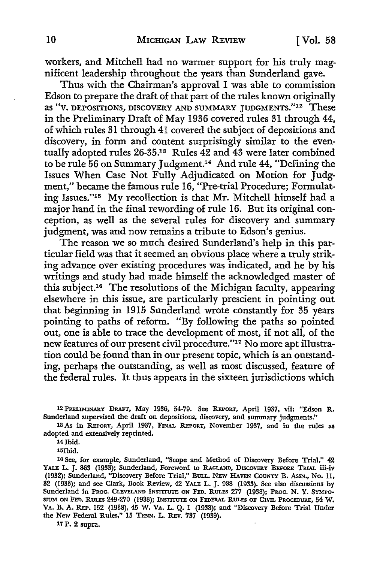workers. and Mitchell had no warmer support for his truly magnificent leadership throughout the years than Sunderland gave.

Thus with the Chairman's approval I was able to commission Edson to prepare the draft of that part of the rules known originally **as "v. DEPOSITIONS, DISCOVERY AND SUMMARY JUDGMENTs.''12 These**  in the Preliminary Draft of May 1936 covered rules 31 through 44, of which rules 31 through 41 covered the subject of depositions and discovery, in form and content surprisingly similar to the eventually adopted rules 26-35.<sup>13</sup> Rules  $42$  and  $43$  were later combined to be rule 56 on Summary Judgment.<sup>14</sup> And rule 44, "Defining the Issues When Case Not Fully Adjudicated on Motion for Judgment," became the famous rule 16, "Pre-trial Procedure; Formulating Issues."15 My recollection is that Mr. Mitchell himself had a major hand in the final rewording of rule 16. But its original conception, as well as the several rules for discovery and summary judgment, was and now remains a tribute to Edson's genius.

The reason we so much desired Sunderland's help in this particular field was that it seemed an obvious place where a truly striking advance over existing procedures was indicated, and he by his writings and study had made himself the acknowledged master of this subject.16 The resolutions of the Michigan faculty, appearing elsewhere in this issue, are particularly prescient in pointing out that beginning in 1915 Sunderland wrote constantly for 35 years pointing to paths of reform. "By following the paths so pointed out, one is able to trace the development of most, if not all, of the new features of our present civil procedure."17 No more apt illustration could be found than in our present topic, which is an outstanding, perhaps the outstanding, as well as most discussed, feature of the federal rules. It thus appears in the sixteen jurisdictions which

12 PRELIMINARY DRAFI', May 1936, 54-79. See REPORT, April 1937, vii: "Edson R. Sunderland supervised the draft on depositions, discovery, and summary judgments."

lSAs in REPORT, April 1937, FINAL REPORT, November 1937, and in the rules as adopted and extensively reprinted.

14 Ibid.

115Ibid.

16 See, for example, Sunderland, "Scope and Method of Discovery Before Trial," 42 YALE L. J. 863 (1933); Sunderland, Foreword to RAGLAND, DISCOVERY BEFORE TRIAL iii-iv (1932); Sunderland, "Discovery Before Trial," BULL. NEW HAVEN COUNTY B. AssN., No. 11, 32 (1933); and see Clark, Book Review, 42 YALE L. J. 988 (1933). See also discussions by Sunderland in Proc. CLEVELAND INSTITUTE ON FED. RULES 277 (1938); PROC. N. Y. SYMPO-SIUM ON FED. RULES 249·270 (1938); INSTITUTE ON FEDERAL RULES OF CIVIL PROCEDURE, 54 W. VA. B. A. REP. 152 (1938), 45 W. VA. L. Q. 1 (1938); and "Discovery Before Trial Under the New Federal Rules," 15 TENN. L. *R.Ev.* 737 (1939).

17P. 2 supra.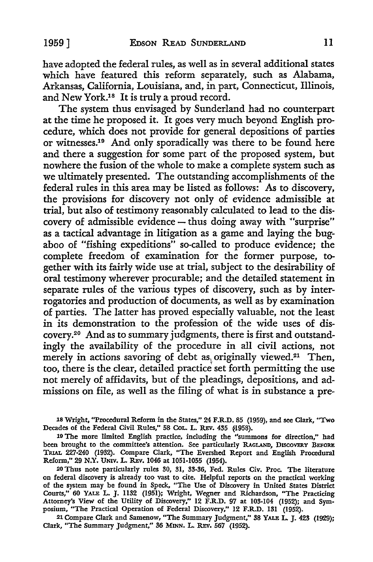have adopted the federal rules, as well as in several additional states which have featured this reform separately, such as Alabama, Arkansas, California, Louisiana, and, in part, Connecticut, Illinois, and NewYork.18 It is truly a proud record.

The system thus envisaged by Sunderland had no counterpart at the time he proposed it. It goes very much beyond English procedure, which does not provide for general depositions of parties or witnesses.19 And only sporadically was there to be found here and there a suggestion for some part of the proposed system, but nowhere the fusion of the whole to make a complete system such as we ultimately presented. The outstanding accomplishments of the federal rules in this area may be listed as follows: As to discovery, the provisions for discovery not only of evidence admissible at trial, but also of testimony reasonably calculated to lead to the dis $covery$  of admissible evidence  $-$  thus doing away with "surprise" as a tactical advantage in litigation as a game and laying the bugaboo of "fishing expeditions" so-called to produce evidence; the complete freedom of examination for the former purpose, together with its fairly wide use at trial, subject to the desirability of oral testimony wherever procurable; and the detailed statement in separate rules of the various types of discovery, such as by interrogatories and production of documents, as well as by examination of parties. The latter has proved especially valuable, not the least in its demonstration to the profession of the wide uses of discovery.20 And as to summary judgments, there is first and outstandingly the availability of the procedure in all civil actions, not merely in actions savoring of debt as originally viewed.<sup>21</sup> Then, too, there is the clear, detailed practice set forth permitting the use not merely of affidavits, but of the pleadings, depositions, and admissions on file, as well as the filing of what is in substance a pre-

18 Wright, "Procedural Reform in the States," 24 F.R.D. 85 (1959), and see Clark, "Two Decades of the Federal Civil Rules," 58 CoL. L. REV. 435 (1958).

20 Thus note particularly rules 30, 31, 33-36, Fed. Rules Civ. Proc. The literature on federal discovery is already too vast to cite. Helpful reports on the practical working of the system may be found in Speck, "The Use of Discovery in United States District Courts," 60 YALE L. J. 1132 (1951); Wright, Wegner and Richardson, "The Practicing Attorney's View of the Utility of Discovery," 12 F.R.D. 97 at 103-104 (1952); and Symposium, "The Practical Operation of Federal Discovery," 12 F.R.D. 131 (1952).

21 Compare Clark and Samenow, "The Summary Judgment," 38 YALE L J. 423 (1929); Clark, "The Summary Judgment," 36 **MINN.** L. REv. 567 (1952).

<sup>19</sup> The more limited English practice, including the "summons for direction," had been brought to the committee's attention. See particularly RAGLAND, DISCOVERY BEFORE TRIAL 227-240 (1932). Compare Clark, "The Evershed Report and English Procedural Reform," 29 N.Y. UNIV. L. REV. 1046 at 1051-1055 (1954).